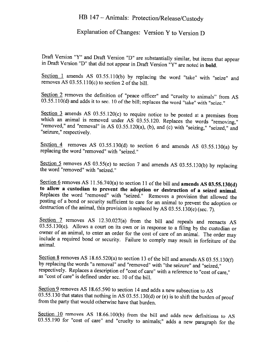## HB 147 - Animals: Protection/Release/Custody

## Explanation of Changes: Version <sup>Y</sup> to Version <sup>D</sup>

Draft Version "Y" and Draft Version "D" are substantially similar, but items that appear in Draft Version "D" that did not appear in Draft Version "Y" are noted in **bold**.

Section 1 amends AS 03.55.110(b) by replacing the word "take" with "seize" and removes AS 03.55.110(c) to section 2 of the bill.

Section 2 removes the definition of "peace officer" and "cruelty to animals" from AS 03.55.110(d) and adds it to sec. 10 of the bill; replaces the word "take" with "seize."

Section 3 amends AS 03.55.120(c) to require notice to be posted at a premises from which an animal is removed under AS 03.55.120. Replaces the words "removing," "removed," and "removal" in AS 03.55.120(a), (b), and (c) wi

Section 4 removes AS 03.55.130(d) to section 6 and amends AS 03.55.130(a) by replacing the word "removed" with "seized."

Section 5 removes AS 03.55(e) to section 7 and amends AS 03.55.130(b) by replacing the word "removed" with "seized."

Section 6 removes AS 11.56.740(a) to section 11 of the bill and **amends AS 03.55.130(d)** to allow a custodian to prevent the adoption or destruction of a seized animal. Replaces the word "removed" with "seized." Removes a

Section 7 removes AS 12.30.027(a) from the bill and repeals and reenacts AS 03.55.130(e). Allows a court on its own or in response to a filing by the custodian or owner of an animal, to enter an order for the cost of care include a required bond or security. Failure to comply may result in forfeiture of the animal.

Section 8 removes AS 18.65.520(a) to section 13 of the bill and amends AS 03.55.130(f) by replacing the words "a removal" and "removed" with "the seizure" and "seized," respectively. Replaces a description of "cost of car as "cost of care" is defined under sec. 10 of the bill.

Section 9 removes AS 18.65.590 to section 14 and adds a new subsection to AS 03.55.130 that states that nothing in AS 03.55.130(d) or (e) is to shift the burden of proof from the party that would otherwise have that burden.

Section 10 removes AS 18.66.100(b) from the bill and adds new definitions to AS 03.55.190 for "cost of care" and "cruelty to animals;" adds a new paragraph for the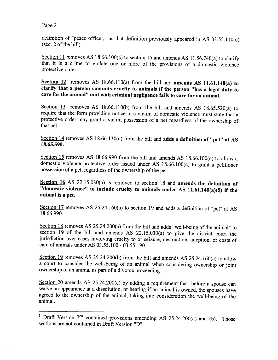Page 2

definition of "peace officer," as that definition previously appeared in AS 03.55.110(c) (sec. 2 of the bill).

Section 11 removes AS 18.66.100(c) to section 15 and amends AS 11.56.740(a) to clarify that it is a crime to violate one or more of the provisions of a domestic violence protective order.

Section 12 removes AS  $18.66.110(a)$  from the bill and amends AS  $11.61.140(a)$  to clarify that a person commits cruelty to animals if the person "has a legal duty to care for the animal" and with criminal negligence fails to care for an animal.

Section 13 removes AS 18.66.110(b) from the bill and amends AS 18.65.520(a) to require that the form providing notice to <sup>a</sup> victim of domestic violence must state that <sup>a</sup> protective order may grant <sup>a</sup> victim possession of <sup>a</sup> pet regardless of the ownership of that pet.

Section 14 removes AS 18.66.130(a) from the bill and adds a definition of "pet" at AS 18.65.590.

Section 15 removes AS 18.66.990 from the bill and amends AS 18.66.100(c) to allow a domestic violence protective order issued under AS 18.66.100(c) to grant <sup>a</sup> petitioner possession of a pet, regardless of the ownership of the pet.

Section 16 AS 22.15.030(a) is removed to section 18 and amends the definition of "domestic violence" to include cruelty to animals under AS  $11.61.140(a)(5)$  if the animal is <sup>a</sup> pet.

Section 17 removes AS 25.24.160(a) to section 19 and adds a definition of "pet" at AS 18.66.990.

Section 18 removes AS 25.24.200(a) from the bill and adds "well-being of the animal" to section <sup>19</sup> of the bill and amends AS 22.15.030(a) to <sup>g</sup>ive the district court the jurisdiction over cases involving cruelty to or seizure, destruction, adoption, or costs of care of animals under AS 03.55.100 - 03.55.190.

Section 19 removes AS 25.24.200(b) from the bill and amends AS 25.24.160(a) to allow <sup>a</sup> court to consider the well-being of an animal when considering ownership or joint ownership of an animal as part of <sup>a</sup> divorce proceeding.

Section 20 amends AS 25.24.200(c) by adding a requirement that, before a spouse can waive an appearance at a dissolution, or hearing if an animal is owned, the spouses have agreed to the ownership of the animal, taking in

<sup>&</sup>lt;sup>1</sup> Draft Version Y" contained provisions amending AS 25.24.200(a) and (b). Those sections are not contained in Draft Version "D".